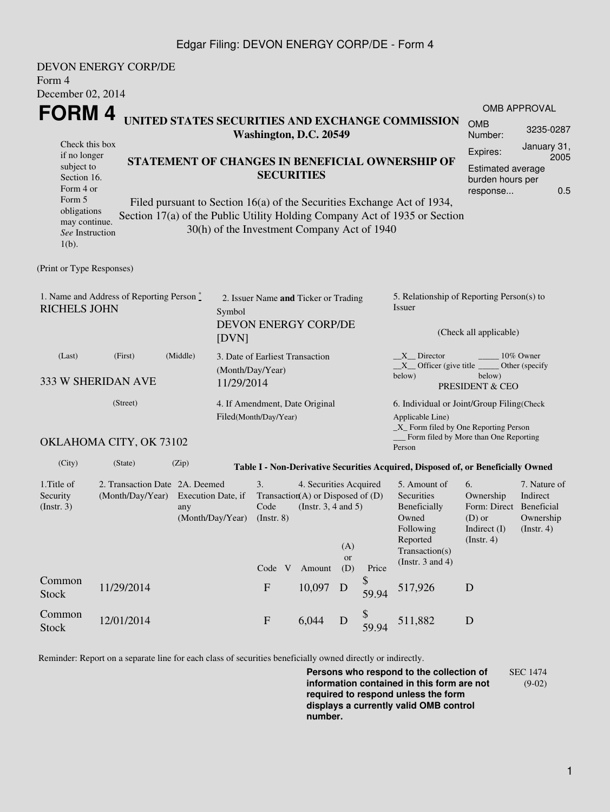## Edgar Filing: DEVON ENERGY CORP/DE - Form 4

| Form 4<br>December 02, 2014                                                                                        | <b>DEVON ENERGY CORP/DE</b> |                    |                                                                                                                                                                                                                                                                              |                                                                                                                                   |                  |                       |                                                                                                           |                                                                                                                             |                                                                                             |                                                           |  |  |
|--------------------------------------------------------------------------------------------------------------------|-----------------------------|--------------------|------------------------------------------------------------------------------------------------------------------------------------------------------------------------------------------------------------------------------------------------------------------------------|-----------------------------------------------------------------------------------------------------------------------------------|------------------|-----------------------|-----------------------------------------------------------------------------------------------------------|-----------------------------------------------------------------------------------------------------------------------------|---------------------------------------------------------------------------------------------|-----------------------------------------------------------|--|--|
| <b>FORM4</b>                                                                                                       |                             |                    |                                                                                                                                                                                                                                                                              |                                                                                                                                   |                  |                       |                                                                                                           |                                                                                                                             |                                                                                             | <b>OMB APPROVAL</b>                                       |  |  |
|                                                                                                                    |                             |                    |                                                                                                                                                                                                                                                                              | Washington, D.C. 20549                                                                                                            |                  |                       |                                                                                                           | UNITED STATES SECURITIES AND EXCHANGE COMMISSION                                                                            | <b>OMB</b><br>Number:                                                                       | 3235-0287                                                 |  |  |
| Check this box<br>if no longer<br>subject to<br>Section 16.<br>Form 4 or<br>Form 5<br>obligations<br>may continue. |                             |                    | STATEMENT OF CHANGES IN BENEFICIAL OWNERSHIP OF<br><b>SECURITIES</b><br>Filed pursuant to Section 16(a) of the Securities Exchange Act of 1934,<br>Section 17(a) of the Public Utility Holding Company Act of 1935 or Section<br>30(h) of the Investment Company Act of 1940 |                                                                                                                                   |                  |                       |                                                                                                           |                                                                                                                             | January 31,<br>Expires:<br>2005<br>Estimated average<br>burden hours per<br>0.5<br>response |                                                           |  |  |
| See Instruction<br>$1(b)$ .                                                                                        |                             |                    |                                                                                                                                                                                                                                                                              |                                                                                                                                   |                  |                       |                                                                                                           |                                                                                                                             |                                                                                             |                                                           |  |  |
| (Print or Type Responses)                                                                                          |                             |                    |                                                                                                                                                                                                                                                                              |                                                                                                                                   |                  |                       |                                                                                                           |                                                                                                                             |                                                                                             |                                                           |  |  |
| 1. Name and Address of Reporting Person*<br><b>RICHELS JOHN</b><br>Symbol<br>[DVN]                                 |                             |                    |                                                                                                                                                                                                                                                                              | 2. Issuer Name and Ticker or Trading<br><b>DEVON ENERGY CORP/DE</b>                                                               |                  |                       |                                                                                                           | 5. Relationship of Reporting Person(s) to<br>Issuer<br>(Check all applicable)                                               |                                                                                             |                                                           |  |  |
| (Middle)<br>(First)<br>(Last)<br>333 W SHERIDAN AVE                                                                |                             |                    |                                                                                                                                                                                                                                                                              | 3. Date of Earliest Transaction<br>(Month/Day/Year)<br>11/29/2014                                                                 |                  |                       |                                                                                                           | $X$ Director<br>10% Owner<br>Other (specify<br>$X$ Officer (give title $\frac{X}{X}$<br>below)<br>below)<br>PRESIDENT & CEO |                                                                                             |                                                           |  |  |
| (Street)                                                                                                           |                             |                    | 4. If Amendment, Date Original<br>Filed(Month/Day/Year)                                                                                                                                                                                                                      |                                                                                                                                   |                  |                       | 6. Individual or Joint/Group Filing(Check<br>Applicable Line)<br>$\_X$ Form filed by One Reporting Person |                                                                                                                             |                                                                                             |                                                           |  |  |
|                                                                                                                    | OKLAHOMA CITY, OK 73102     |                    |                                                                                                                                                                                                                                                                              |                                                                                                                                   |                  |                       |                                                                                                           | Form filed by More than One Reporting<br>Person                                                                             |                                                                                             |                                                           |  |  |
| (City)                                                                                                             | (State)                     | (Zip)              |                                                                                                                                                                                                                                                                              |                                                                                                                                   |                  |                       |                                                                                                           | Table I - Non-Derivative Securities Acquired, Disposed of, or Beneficially Owned                                            |                                                                                             |                                                           |  |  |
| 1.Title of<br>2. Transaction Date 2A. Deemed<br>Security<br>(Month/Day/Year)<br>(Insert. 3)<br>any                 |                             | Execution Date, if | (Month/Day/Year)                                                                                                                                                                                                                                                             | 3.<br>4. Securities Acquired<br>Transaction(A) or Disposed of $(D)$<br>(Instr. $3, 4$ and $5$ )<br>Code<br>$($ Instr. $8)$<br>(A) |                  |                       |                                                                                                           | 5. Amount of<br>Securities<br>Beneficially<br>Owned<br>Following<br>Reported<br>Transaction(s)                              | 6.<br>Ownership<br>Form: Direct Beneficial<br>$(D)$ or<br>Indirect (I)<br>$($ Instr. 4 $)$  | 7. Nature of<br>Indirect<br>Ownership<br>$($ Instr. 4 $)$ |  |  |
| Common<br><b>Stock</b>                                                                                             | 11/29/2014                  |                    |                                                                                                                                                                                                                                                                              | Code V<br>${\bf F}$                                                                                                               | Amount<br>10,097 | <b>or</b><br>(D)<br>D | Price<br>\$<br>59.94                                                                                      | (Instr. 3 and 4)<br>517,926                                                                                                 | $\mathbf D$                                                                                 |                                                           |  |  |
| Common<br><b>Stock</b>                                                                                             | 12/01/2014                  |                    |                                                                                                                                                                                                                                                                              | ${\bf F}$                                                                                                                         | 6,044            | D                     | \$<br>59.94                                                                                               | 511,882                                                                                                                     | ${\bf D}$                                                                                   |                                                           |  |  |

Reminder: Report on a separate line for each class of securities beneficially owned directly or indirectly.

**Persons who respond to the collection of information contained in this form are not required to respond unless the form displays a currently valid OMB control number.** SEC 1474 (9-02)